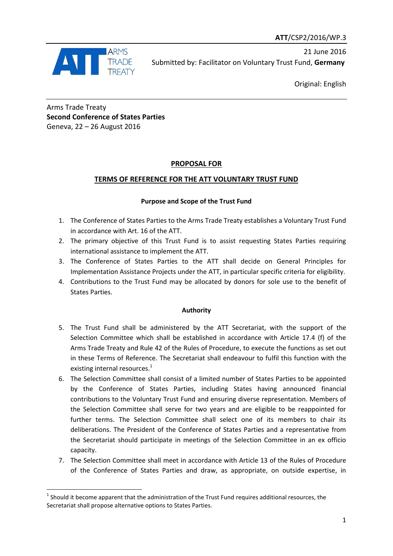

1

21 June 2016 Submitted by: Facilitator on Voluntary Trust Fund, **Germany** 

Original: English

Arms Trade Treaty **Second Conference of States Parties** Geneva, 22 – 26 August 2016

## **PROPOSAL FOR**

# **TERMS OF REFERENCE FOR THE ATT VOLUNTARY TRUST FUND**

## **Purpose and Scope of the Trust Fund**

- 1. The Conference of States Parties to the Arms Trade Treaty establishes a Voluntary Trust Fund in accordance with Art. 16 of the ATT.
- 2. The primary objective of this Trust Fund is to assist requesting States Parties requiring international assistance to implement the ATT.
- 3. The Conference of States Parties to the ATT shall decide on General Principles for Implementation Assistance Projects under the ATT, in particular specific criteria for eligibility.
- 4. Contributions to the Trust Fund may be allocated by donors for sole use to the benefit of States Parties.

### **Authority**

- 5. The Trust Fund shall be administered by the ATT Secretariat, with the support of the Selection Committee which shall be established in accordance with Article 17.4 (f) of the Arms Trade Treaty and Rule 42 of the Rules of Procedure, to execute the functions as set out in these Terms of Reference. The Secretariat shall endeavour to fulfil this function with the existing internal resources.<sup>1</sup>
- 6. The Selection Committee shall consist of a limited number of States Parties to be appointed by the Conference of States Parties, including States having announced financial contributions to the Voluntary Trust Fund and ensuring diverse representation. Members of the Selection Committee shall serve for two years and are eligible to be reappointed for further terms. The Selection Committee shall select one of its members to chair its deliberations. The President of the Conference of States Parties and a representative from the Secretariat should participate in meetings of the Selection Committee in an ex officio capacity.
- 7. The Selection Committee shall meet in accordance with Article 13 of the Rules of Procedure of the Conference of States Parties and draw, as appropriate, on outside expertise, in

 $<sup>1</sup>$  Should it become apparent that the administration of the Trust Fund requires additional resources, the</sup> Secretariat shall propose alternative options to States Parties.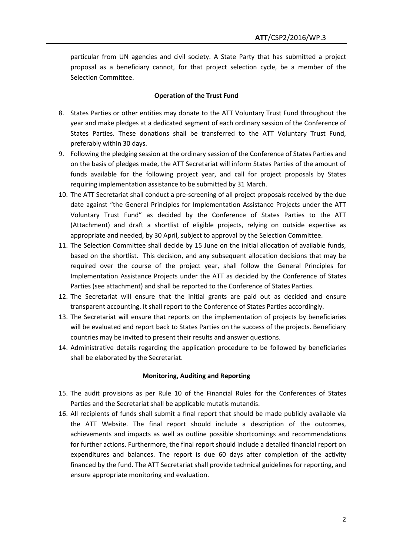particular from UN agencies and civil society. A State Party that has submitted a project proposal as a beneficiary cannot, for that project selection cycle, be a member of the Selection Committee.

### **Operation of the Trust Fund**

- 8. States Parties or other entities may donate to the ATT Voluntary Trust Fund throughout the year and make pledges at a dedicated segment of each ordinary session of the Conference of States Parties. These donations shall be transferred to the ATT Voluntary Trust Fund, preferably within 30 days.
- 9. Following the pledging session at the ordinary session of the Conference of States Parties and on the basis of pledges made, the ATT Secretariat will inform States Parties of the amount of funds available for the following project year, and call for project proposals by States requiring implementation assistance to be submitted by 31 March.
- 10. The ATT Secretariat shall conduct a pre-screening of all project proposals received by the due date against "the General Principles for Implementation Assistance Projects under the ATT Voluntary Trust Fund" as decided by the Conference of States Parties to the ATT (Attachment) and draft a shortlist of eligible projects, relying on outside expertise as appropriate and needed, by 30 April, subject to approval by the Selection Committee.
- 11. The Selection Committee shall decide by 15 June on the initial allocation of available funds, based on the shortlist. This decision, and any subsequent allocation decisions that may be required over the course of the project year, shall follow the General Principles for Implementation Assistance Projects under the ATT as decided by the Conference of States Parties (see attachment) and shall be reported to the Conference of States Parties.
- 12. The Secretariat will ensure that the initial grants are paid out as decided and ensure transparent accounting. It shall report to the Conference of States Parties accordingly.
- 13. The Secretariat will ensure that reports on the implementation of projects by beneficiaries will be evaluated and report back to States Parties on the success of the projects. Beneficiary countries may be invited to present their results and answer questions.
- 14. Administrative details regarding the application procedure to be followed by beneficiaries shall be elaborated by the Secretariat.

#### **Monitoring, Auditing and Reporting**

- 15. The audit provisions as per Rule 10 of the Financial Rules for the Conferences of States Parties and the Secretariat shall be applicable mutatis mutandis.
- 16. All recipients of funds shall submit a final report that should be made publicly available via the ATT Website. The final report should include a description of the outcomes, achievements and impacts as well as outline possible shortcomings and recommendations for further actions. Furthermore, the final report should include a detailed financial report on expenditures and balances. The report is due 60 days after completion of the activity financed by the fund. The ATT Secretariat shall provide technical guidelines for reporting, and ensure appropriate monitoring and evaluation.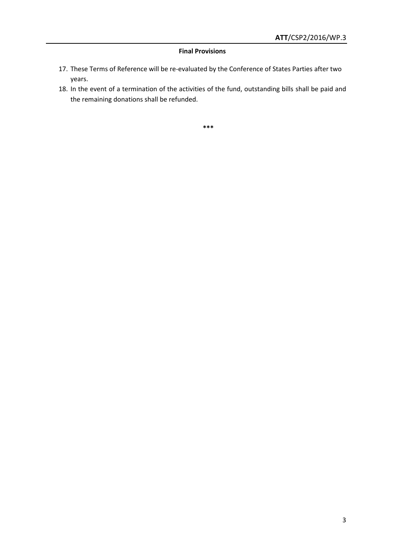### **Final Provisions**

- 17. These Terms of Reference will be re-evaluated by the Conference of States Parties after two years.
- 18. In the event of a termination of the activities of the fund, outstanding bills shall be paid and the remaining donations shall be refunded.

**\*\*\***